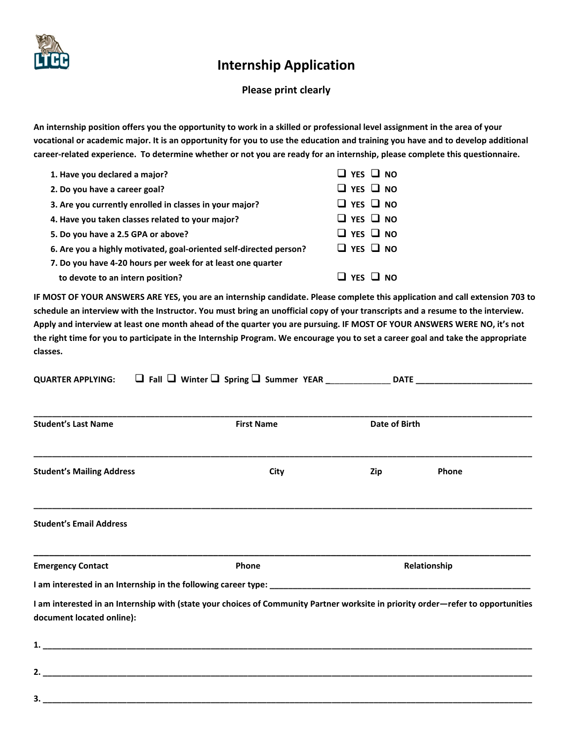

## **Internship Application**

## **Please print clearly**

**An internship position offers you the opportunity to work in a skilled or professional level assignment in the area of your vocational or academic major. It is an opportunity for you to use the education and training you have and to develop additional career-related experience. To determine whether or not you are ready for an internship, please complete this questionnaire.**

| 1. Have you declared a major?                                      | $\Box$ YES $\Box$ NO               |
|--------------------------------------------------------------------|------------------------------------|
| 2. Do you have a career goal?                                      | $\Box$ YES $\Box$ NO               |
| 3. Are you currently enrolled in classes in your major?            | $\Box$ YES $\Box$ NO               |
| 4. Have you taken classes related to your major?                   | $\Box$ YES $\Box$ NO               |
| 5. Do you have a 2.5 GPA or above?                                 | $\Box$ YES $\Box$ NO               |
| 6. Are you a highly motivated, goal-oriented self-directed person? | $\Box$ YES $\Box$ NO               |
| 7. Do you have 4-20 hours per week for at least one quarter        |                                    |
| to devote to an intern position?                                   | $\sqcup$ YFS $\sqcup$<br><b>NO</b> |

**IF MOST OF YOUR ANSWERS ARE YES, you are an internship candidate. Please complete this application and call extension 703 to schedule an interview with the Instructor. You must bring an unofficial copy of your transcripts and a resume to the interview. Apply and interview at least one month ahead of the quarter you are pursuing. IF MOST OF YOUR ANSWERS WERE NO, it's not the right time for you to participate in the Internship Program. We encourage you to set a career goal and take the appropriate classes.**

| <b>Student's Last Name</b>                                                                                                                                    | <b>First Name</b> | Date of Birth |              |
|---------------------------------------------------------------------------------------------------------------------------------------------------------------|-------------------|---------------|--------------|
| <b>Student's Mailing Address</b>                                                                                                                              | City              | Zip           | Phone        |
| <b>Student's Email Address</b>                                                                                                                                |                   |               |              |
| <b>Emergency Contact</b>                                                                                                                                      | Phone             |               | Relationship |
|                                                                                                                                                               |                   |               |              |
| I am interested in an Internship with (state your choices of Community Partner worksite in priority order-refer to opportunities<br>document located online): |                   |               |              |
|                                                                                                                                                               |                   |               |              |
|                                                                                                                                                               |                   |               |              |

**3. \_\_\_\_\_\_\_\_\_\_\_\_\_\_\_\_\_\_\_\_\_\_\_\_\_\_\_\_\_\_\_\_\_\_\_\_\_\_\_\_\_\_\_\_\_\_\_\_\_\_\_\_\_\_\_\_\_\_\_\_\_\_\_\_\_\_\_\_\_\_\_\_\_\_\_\_\_\_\_\_\_\_\_\_\_\_\_\_\_\_\_\_\_\_\_\_\_\_\_\_\_\_\_\_\_**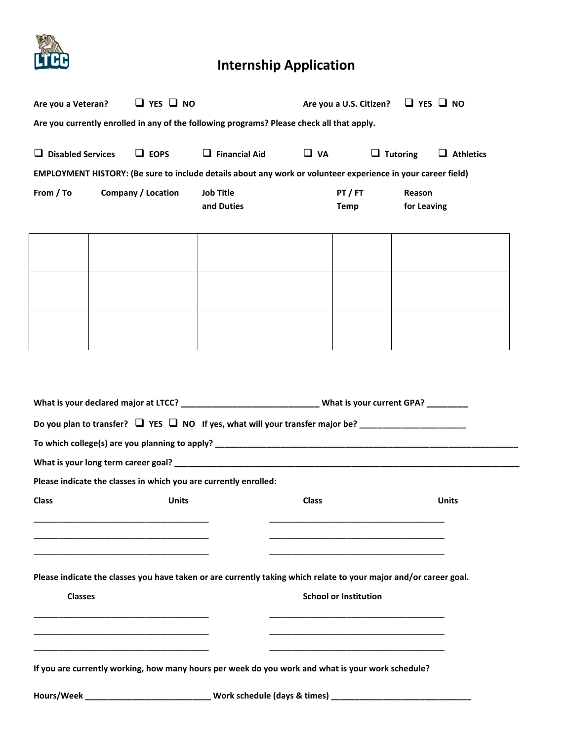

## **Internship Application**

| Are you a Veteran?                                                                                                                                |  | $\Box$ YES $\Box$ NO      |                                                                                                               |              | Are you a U.S. Citizen? $\Box$ YES $\Box$ NO |                 |                  |
|---------------------------------------------------------------------------------------------------------------------------------------------------|--|---------------------------|---------------------------------------------------------------------------------------------------------------|--------------|----------------------------------------------|-----------------|------------------|
| Are you currently enrolled in any of the following programs? Please check all that apply.                                                         |  |                           |                                                                                                               |              |                                              |                 |                  |
| <b>Disabled Services</b><br>ப                                                                                                                     |  | $\Box$ EOPS               | $\Box$ Financial Aid                                                                                          | $\Box$ VA    |                                              | $\Box$ Tutoring | $\Box$ Athletics |
|                                                                                                                                                   |  |                           | EMPLOYMENT HISTORY: (Be sure to include details about any work or volunteer experience in your career field)  |              |                                              |                 |                  |
| From / To                                                                                                                                         |  | <b>Company / Location</b> | <b>Job Title</b>                                                                                              |              | PT / FT                                      | Reason          |                  |
|                                                                                                                                                   |  |                           | and Duties                                                                                                    |              | Temp                                         | for Leaving     |                  |
|                                                                                                                                                   |  |                           |                                                                                                               |              |                                              |                 |                  |
|                                                                                                                                                   |  |                           |                                                                                                               |              |                                              |                 |                  |
|                                                                                                                                                   |  |                           |                                                                                                               |              |                                              |                 |                  |
|                                                                                                                                                   |  |                           |                                                                                                               |              |                                              |                 |                  |
|                                                                                                                                                   |  |                           |                                                                                                               |              |                                              |                 |                  |
|                                                                                                                                                   |  |                           |                                                                                                               |              |                                              |                 |                  |
|                                                                                                                                                   |  |                           |                                                                                                               |              |                                              |                 |                  |
|                                                                                                                                                   |  |                           |                                                                                                               |              |                                              |                 |                  |
|                                                                                                                                                   |  |                           | What is your declared major at LTCC? ________________________________What is your current GPA? _________      |              |                                              |                 |                  |
|                                                                                                                                                   |  |                           | Do you plan to transfer? $\Box$ YES $\Box$ NO If yes, what will your transfer major be? _____________________ |              |                                              |                 |                  |
|                                                                                                                                                   |  |                           |                                                                                                               |              |                                              |                 |                  |
|                                                                                                                                                   |  |                           |                                                                                                               |              |                                              |                 |                  |
|                                                                                                                                                   |  |                           | Please indicate the classes in which you are currently enrolled:                                              |              |                                              |                 |                  |
| <b>Class</b>                                                                                                                                      |  | <b>Units</b>              |                                                                                                               | <b>Class</b> |                                              |                 | <b>Units</b>     |
|                                                                                                                                                   |  |                           |                                                                                                               |              |                                              |                 |                  |
|                                                                                                                                                   |  |                           |                                                                                                               |              |                                              |                 |                  |
|                                                                                                                                                   |  |                           |                                                                                                               |              |                                              |                 |                  |
| Please indicate the classes you have taken or are currently taking which relate to your major and/or career goal.<br><b>School or Institution</b> |  |                           |                                                                                                               |              |                                              |                 |                  |
| <b>Classes</b>                                                                                                                                    |  |                           |                                                                                                               |              |                                              |                 |                  |
|                                                                                                                                                   |  |                           |                                                                                                               |              |                                              |                 |                  |
|                                                                                                                                                   |  |                           |                                                                                                               |              |                                              |                 |                  |
| If you are currently working, how many hours per week do you work and what is your work schedule?                                                 |  |                           |                                                                                                               |              |                                              |                 |                  |
|                                                                                                                                                   |  |                           |                                                                                                               |              |                                              |                 |                  |